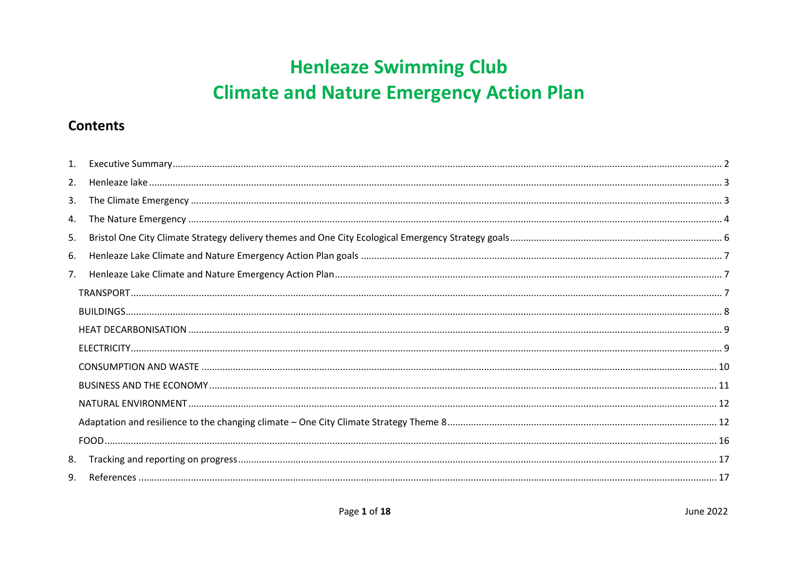# **Henleaze Swimming Club Climate and Nature Emergency Action Plan**

### **Contents**

| 1. |  |
|----|--|
| 2. |  |
| 3. |  |
| 4. |  |
| 5. |  |
| 6. |  |
| 7. |  |
|    |  |
|    |  |
|    |  |
|    |  |
|    |  |
|    |  |
|    |  |
|    |  |
|    |  |
| 8. |  |
| 9. |  |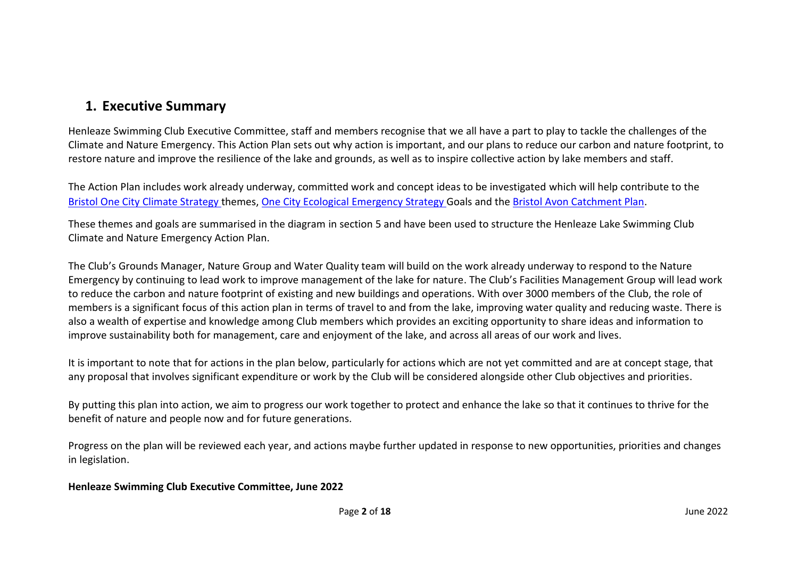### <span id="page-1-0"></span>**1. Executive Summary**

Henleaze Swimming Club Executive Committee, staff and members recognise that we all have a part to play to tackle the challenges of the Climate and Nature Emergency. This Action Plan sets out why action is important, and our plans to reduce our carbon and nature footprint, to restore nature and improve the resilience of the lake and grounds, as well as to inspire collective action by lake members and staff.

The Action Plan includes work already underway, committed work and concept ideas to be investigated which will help contribute to the [Bristol One City Climate Strategy t](https://www.bristolonecity.com/wp-content/uploads/2020/02/one-city-climate-strategy.pdf)hemes, [One City Ecological Emergency S](https://www.bristolonecity.com/wp-content/uploads/2020/09/One-City-Ecological-Emergency-Strategy.pdf)trategy Goals and the [Bristol Avon Catchment Plan.](https://www.wessexwater.co.uk/environment/catchment-partnerships/bristol-avon-catchment-partnership?msclkid=3530f107b0c311ecb66eede0267b5b97)

These themes and goals are summarised in the diagram in section 5 and have been used to structure the Henleaze Lake Swimming Club Climate and Nature Emergency Action Plan.

The Club's Grounds Manager, Nature Group and Water Quality team will build on the work already underway to respond to the Nature Emergency by continuing to lead work to improve management of the lake for nature. The Club's Facilities Management Group will lead work to reduce the carbon and nature footprint of existing and new buildings and operations. With over 3000 members of the Club, the role of members is a significant focus of this action plan in terms of travel to and from the lake, improving water quality and reducing waste. There is also a wealth of expertise and knowledge among Club members which provides an exciting opportunity to share ideas and information to improve sustainability both for management, care and enjoyment of the lake, and across all areas of our work and lives.

It is important to note that for actions in the plan below, particularly for actions which are not yet committed and are at concept stage, that any proposal that involves significant expenditure or work by the Club will be considered alongside other Club objectives and priorities.

By putting this plan into action, we aim to progress our work together to protect and enhance the lake so that it continues to thrive for the benefit of nature and people now and for future generations.

Progress on the plan will be reviewed each year, and actions maybe further updated in response to new opportunities, priorities and changes in legislation.

#### **Henleaze Swimming Club Executive Committee, June 2022**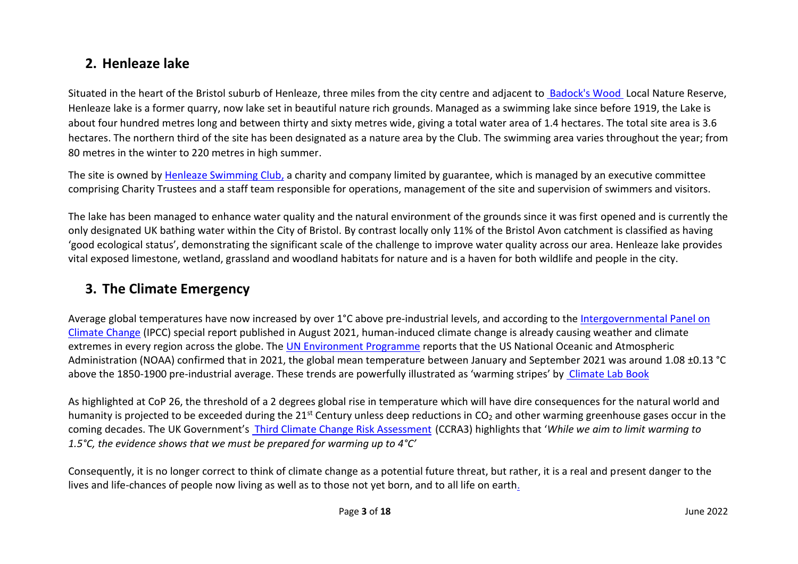### <span id="page-2-0"></span>**2. Henleaze lake**

Situated in the heart of the Bristol suburb of Henleaze, three miles from the city centre and adjacent to [Badock's Wood](http://www.fobw.org.uk/) Local Nature Reserve, Henleaze lake is a former quarry, now lake set in beautiful nature rich grounds. Managed as a swimming lake since before 1919, the Lake is about four hundred metres long and between thirty and sixty metres wide, giving a total water area of 1.4 hectares. The total site area is 3.6 hectares. The northern third of the site has been designated as a nature area by the Club. The swimming area varies throughout the year; from 80 metres in the winter to 220 metres in high summer.

The site is owned by [Henleaze Swimming Club,](http://www.henleazeswimmingclub.org/) a charity and company limited by guarantee, which is managed by an executive committee comprising Charity Trustees and a staff team responsible for operations, management of the site and supervision of swimmers and visitors.

The lake has been managed to enhance water quality and the natural environment of the grounds since it was first opened and is currently the only designated UK bathing water within the City of Bristol. By contrast locally only 11% of the Bristol Avon catchment is classified as having 'good ecological status', demonstrating the significant scale of the challenge to improve water quality across our area. Henleaze lake provides vital exposed limestone, wetland, grassland and woodland habitats for nature and is a haven for both wildlife and people in the city.

# <span id="page-2-1"></span>**3. The Climate Emergency**

Average global temperatures have now increased by over 1°C above pre-industrial levels, and according to the [Intergovernmental Panel on](https://www.ipcc.ch/about/)  [Climate Change](https://www.ipcc.ch/about/) (IPCC) special report published in August 2021, human-induced climate change is already causing weather and climate extremes in every region across the globe. The [UN Environment Programme](https://www.unep.org/news-and-stories/story/global-temperatures-costs-continued-soar-2021) reports that the US National Oceanic and Atmospheric Administration (NOAA) confirmed that in 2021, the global mean temperature between January and September 2021 was around 1.08 ±0.13 °C above the 1850-1900 pre-industrial average. These trends are powerfully illustrated as 'warming stripes' by Climate Lab Book

As highlighted at CoP 26, the threshold of a 2 degrees global rise in temperature which will have dire consequences for the natural world and humanity is projected to be exceeded during the  $21^{st}$  Century unless deep reductions in CO<sub>2</sub> and other warming greenhouse gases occur in the coming decades. The UK Government's [Third Climate Change Risk Assessment](https://www.gov.uk/government/news/government-publishes-uks-third-climate-change-risk-assessment) (CCRA3) highlights that '*While we aim to limit warming to 1.5°C, the evidence shows that we must be prepared for warming up to 4°C'*

Consequently, it is no longer correct to think of climate change as a potential future threat, but rather, it is a real and present danger to the lives and life-chances of people now living as well as to those not yet born, and to all life on earth.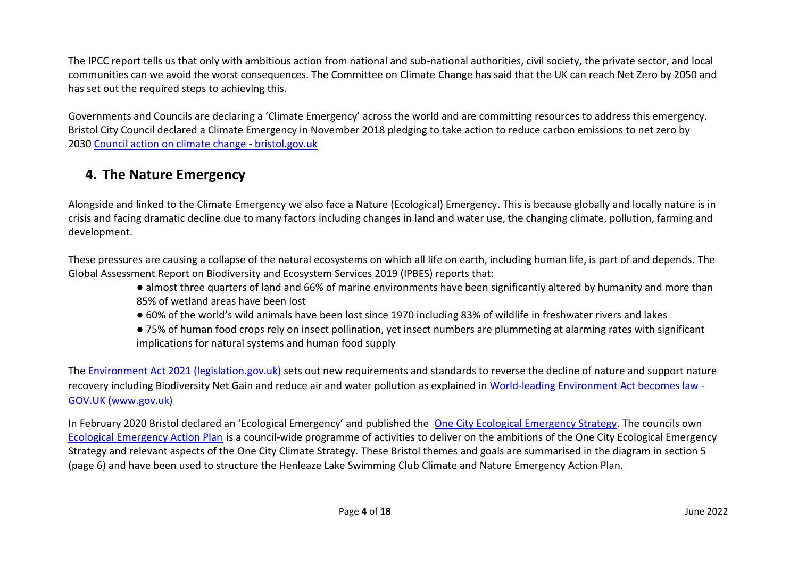The IPCC report tells us that only with ambitious action from national and sub-national authorities, civil society, the private sector, and local communities can we avoid the worst consequences. The Committee on Climate Change has said that the UK can reach Net Zero by 2050 and has set out the required steps to achieving this.

Governments and Councils are declaring a 'Climate Emergency' across the world and are committing resources to address this emergency. Bristol City Council declared a Climate Emergency in November 2018 pledging to take action to reduce carbon emissions to net zero by 2030 [Council action on climate change -](https://eur03.safelinks.protection.outlook.com/?url=https%3A%2F%2Fwww.bristol.gov.uk%2Fpolicies-plans-strategies%2Fcouncil-action-on-climate-change&data=04%7C01%7C%7Ca6c63c35b69f4df8878708d9ec760239%7C6378a7a50f214482aee0897eb7de331f%7C0%7C0%7C637800813884721601%7CUnknown%7CTWFpbGZsb3d8eyJWIjoiMC4wLjAwMDAiLCJQIjoiV2luMzIiLCJBTiI6Ik1haWwiLCJXVCI6Mn0%3D%7C3000&sdata=ODN3u3Cn0vbqZyzjZbYjVR%2BbpFlwqiaIPa33aBe9NTs%3D&reserved=0) bristol.gov.uk

# <span id="page-3-0"></span>**4. The Nature Emergency**

Alongside and linked to the Climate Emergency we also face a Nature (Ecological) Emergency. This is because globally and locally nature is in crisis and facing dramatic decline due to many factors including changes in land and water use, the changing climate, pollution, farming and development.

These pressures are causing a collapse of the natural ecosystems on which all life on earth, including human life, is part of and depends. The Global Assessment Report on Biodiversity and Ecosystem Services 2019 (IPBES) reports that:

- almost three quarters of land and 66% of marine environments have been significantly altered by humanity and more than 85% of wetland areas have been lost
- 60% of the world's wild animals have been lost since 1970 including 83% of wildlife in freshwater rivers and lakes
- 75% of human food crops rely on insect pollination, yet insect numbers are plummeting at alarming rates with significant implications for natural systems and human food supply

The [Environment Act 2021 \(legislation.gov.uk\)](https://www.legislation.gov.uk/ukpga/2021/30/contents/enacted) sets out new requirements and standards to reverse the decline of nature and support nature recovery including Biodiversity Net Gain and reduce air and water pollution as explained in World-leading Environment Act becomes law - GOV.UK (www.gov.uk)

In February 2020 Bristol declared an 'Ecological Emergency' and published the [One City Ecological Emergency Strategy.](https://www.bristolonecity.com/wp-content/uploads/2020/09/One-City-Ecological-Emergency-Strategy-28.09.20.pdf) The councils ow[n](https://www.bristol.gov.uk/documents/20182/5572361/Ecological_Emergency_Action_Plan.pdf/2e98b357-5e7c-d926-3a52-bf602e01d44c?t=1630497102530) [Ecological Emergency Action Plan](https://www.bristol.gov.uk/documents/20182/5572361/Ecological_Emergency_Action_Plan.pdf/2e98b357-5e7c-d926-3a52-bf602e01d44c?t=1630497102530) is a council-wide programme of activities to deliver on the ambitions of the One City Ecological Emergency Strategy and relevant aspects of the One City Climate Strategy. These Bristol themes and goals are summarised in the diagram in section 5 (page 6) and have been used to structure the Henleaze Lake Swimming Club Climate and Nature Emergency Action Plan.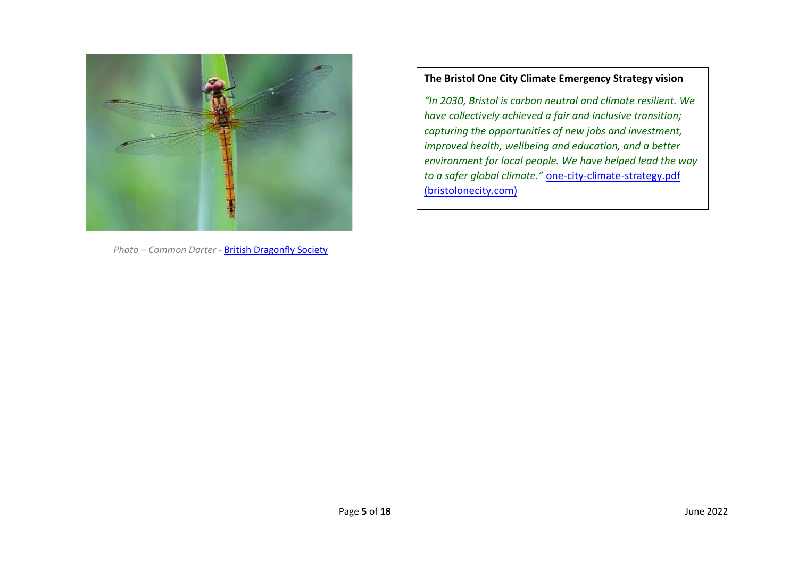

*Photo – Common Darter -* [British Dragonfly Society](https://british-dragonflies.org.uk/species/common-darter/)

#### **The Bristol One City Climate Emergency Strategy vision**

*"In 2030, Bristol is carbon neutral and climate resilient. We have collectively achieved a fair and inclusive transition; capturing the opportunities of new jobs and investment, improved health, wellbeing and education, and a better environment for local people. We have helped lead the way to a safer global climate."* [one-city-climate-strategy.pdf](https://www.bristolonecity.com/wp-content/uploads/2020/02/one-city-climate-strategy.pdf)  [\(bristolonecity.com\)](https://www.bristolonecity.com/wp-content/uploads/2020/02/one-city-climate-strategy.pdf)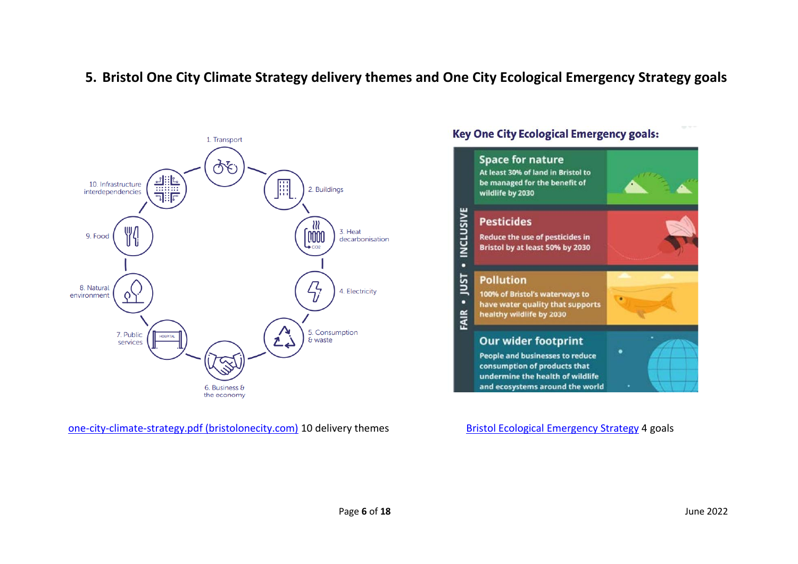### <span id="page-5-0"></span>**5. Bristol One City Climate Strategy delivery themes and One City Ecological Emergency Strategy goals**



[one-city-climate-strategy.pdf \(bristolonecity.com\)](https://www.bristolonecity.com/wp-content/uploads/2020/02/one-city-climate-strategy.pdf) 10 delivery themes [Bristol Ecological Emergency Strategy](https://www.bristol.gov.uk/documents/20182/5572361/Ecological_Emergency_Action_Plan.pdf/2e98b357-5e7c-d926-3a52-bf602e01d44c?t=1630497102530) 4 goals

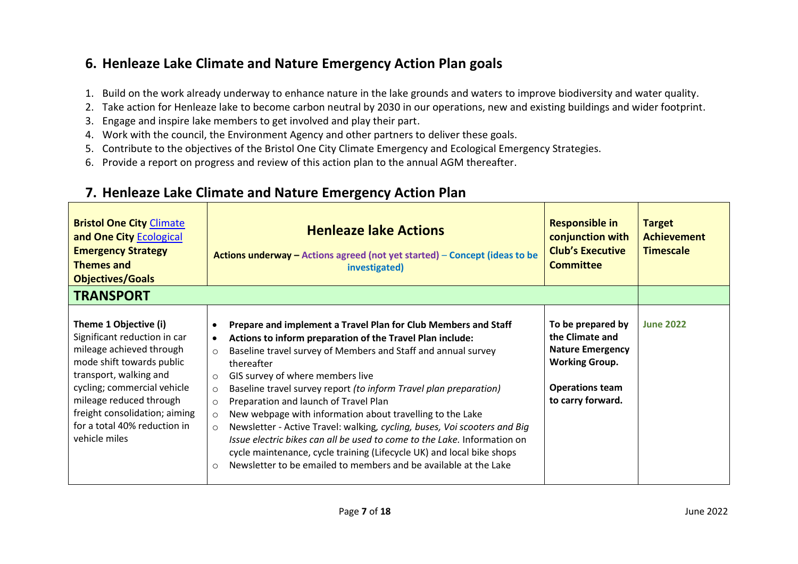# <span id="page-6-0"></span>**6. Henleaze Lake Climate and Nature Emergency Action Plan goals**

- 1. Build on the work already underway to enhance nature in the lake grounds and waters to improve biodiversity and water quality.
- 2. Take action for Henleaze lake to become carbon neutral by 2030 in our operations, new and existing buildings and wider footprint.
- 3. Engage and inspire lake members to get involved and play their part.
- 4. Work with the council, the Environment Agency and other partners to deliver these goals.
- 5. Contribute to the objectives of the Bristol One City Climate Emergency and Ecological Emergency Strategies.
- 6. Provide a report on progress and review of this action plan to the annual AGM thereafter.

<span id="page-6-2"></span>

| <b>Bristol One City Climate</b><br>and One City Ecological<br><b>Emergency Strategy</b><br><b>Themes and</b><br><b>Objectives/Goals</b>                                                                                                                                              | <b>Henleaze lake Actions</b><br>Actions underway $-$ Actions agreed (not yet started) $-$ Concept (ideas to be<br>investigated)                                                                                                                                                                                                                                                                                                                                                                                                                                                                                                                                                                                                                                                                                           | <b>Responsible in</b><br>conjunction with<br><b>Club's Executive</b><br><b>Committee</b>                                                | <b>Target</b><br><b>Achievement</b><br><b>Timescale</b> |
|--------------------------------------------------------------------------------------------------------------------------------------------------------------------------------------------------------------------------------------------------------------------------------------|---------------------------------------------------------------------------------------------------------------------------------------------------------------------------------------------------------------------------------------------------------------------------------------------------------------------------------------------------------------------------------------------------------------------------------------------------------------------------------------------------------------------------------------------------------------------------------------------------------------------------------------------------------------------------------------------------------------------------------------------------------------------------------------------------------------------------|-----------------------------------------------------------------------------------------------------------------------------------------|---------------------------------------------------------|
| <b>TRANSPORT</b>                                                                                                                                                                                                                                                                     |                                                                                                                                                                                                                                                                                                                                                                                                                                                                                                                                                                                                                                                                                                                                                                                                                           |                                                                                                                                         |                                                         |
| Theme 1 Objective (i)<br>Significant reduction in car<br>mileage achieved through<br>mode shift towards public<br>transport, walking and<br>cycling; commercial vehicle<br>mileage reduced through<br>freight consolidation; aiming<br>for a total 40% reduction in<br>vehicle miles | Prepare and implement a Travel Plan for Club Members and Staff<br>Actions to inform preparation of the Travel Plan include:<br>$\bullet$<br>Baseline travel survey of Members and Staff and annual survey<br>$\circ$<br>thereafter<br>GIS survey of where members live<br>$\circ$<br>Baseline travel survey report (to inform Travel plan preparation)<br>$\circ$<br>Preparation and launch of Travel Plan<br>$\circ$<br>New webpage with information about travelling to the Lake<br>$\circ$<br>Newsletter - Active Travel: walking, cycling, buses, Voi scooters and Big<br>$\circ$<br>Issue electric bikes can all be used to come to the Lake. Information on<br>cycle maintenance, cycle training (Lifecycle UK) and local bike shops<br>Newsletter to be emailed to members and be available at the Lake<br>$\circ$ | To be prepared by<br>the Climate and<br><b>Nature Emergency</b><br><b>Working Group.</b><br><b>Operations team</b><br>to carry forward. | <b>June 2022</b>                                        |

### <span id="page-6-1"></span>**7. Henleaze Lake Climate and Nature Emergency Action Plan**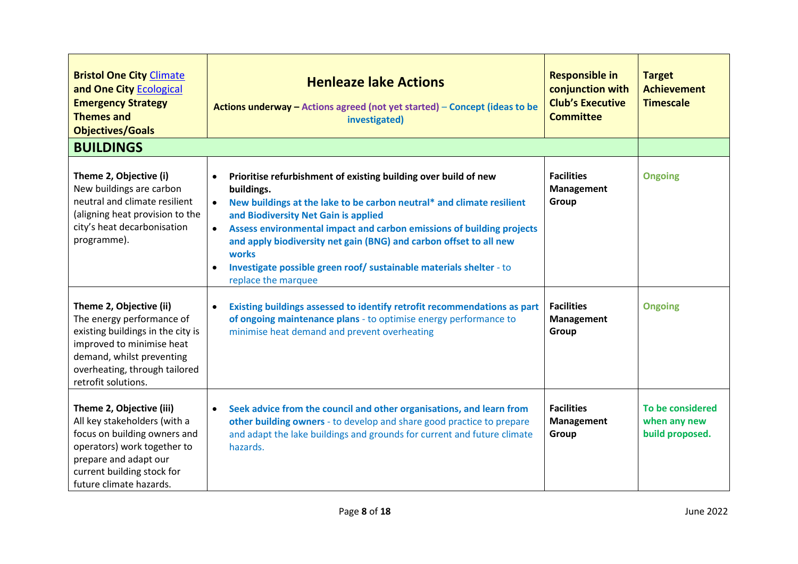<span id="page-7-0"></span>

| <b>Bristol One City Climate</b><br>and One City Ecological<br><b>Emergency Strategy</b><br><b>Themes and</b><br><b>Objectives/Goals</b>                                                                     | <b>Henleaze lake Actions</b><br>Actions underway - Actions agreed (not yet started) - Concept (ideas to be<br>investigated)                                                                                                                                                                                                                                                                                                                                                                              | <b>Responsible in</b><br>conjunction with<br><b>Club's Executive</b><br><b>Committee</b> | <b>Target</b><br><b>Achievement</b><br><b>Timescale</b> |
|-------------------------------------------------------------------------------------------------------------------------------------------------------------------------------------------------------------|----------------------------------------------------------------------------------------------------------------------------------------------------------------------------------------------------------------------------------------------------------------------------------------------------------------------------------------------------------------------------------------------------------------------------------------------------------------------------------------------------------|------------------------------------------------------------------------------------------|---------------------------------------------------------|
| <b>BUILDINGS</b>                                                                                                                                                                                            |                                                                                                                                                                                                                                                                                                                                                                                                                                                                                                          |                                                                                          |                                                         |
| Theme 2, Objective (i)<br>New buildings are carbon<br>neutral and climate resilient<br>(aligning heat provision to the<br>city's heat decarbonisation<br>programme).                                        | Prioritise refurbishment of existing building over build of new<br>$\bullet$<br>buildings.<br>New buildings at the lake to be carbon neutral* and climate resilient<br>$\bullet$<br>and Biodiversity Net Gain is applied<br>Assess environmental impact and carbon emissions of building projects<br>$\bullet$<br>and apply biodiversity net gain (BNG) and carbon offset to all new<br>works<br>Investigate possible green roof/ sustainable materials shelter - to<br>$\bullet$<br>replace the marquee | <b>Facilities</b><br>Management<br>Group                                                 | <b>Ongoing</b>                                          |
| Theme 2, Objective (ii)<br>The energy performance of<br>existing buildings in the city is<br>improved to minimise heat<br>demand, whilst preventing<br>overheating, through tailored<br>retrofit solutions. | Existing buildings assessed to identify retrofit recommendations as part<br>$\bullet$<br>of ongoing maintenance plans - to optimise energy performance to<br>minimise heat demand and prevent overheating                                                                                                                                                                                                                                                                                                | <b>Facilities</b><br>Management<br>Group                                                 | <b>Ongoing</b>                                          |
| Theme 2, Objective (iii)<br>All key stakeholders (with a<br>focus on building owners and<br>operators) work together to<br>prepare and adapt our<br>current building stock for<br>future climate hazards.   | Seek advice from the council and other organisations, and learn from<br>$\bullet$<br>other building owners - to develop and share good practice to prepare<br>and adapt the lake buildings and grounds for current and future climate<br>hazards.                                                                                                                                                                                                                                                        | <b>Facilities</b><br>Management<br>Group                                                 | To be considered<br>when any new<br>build proposed.     |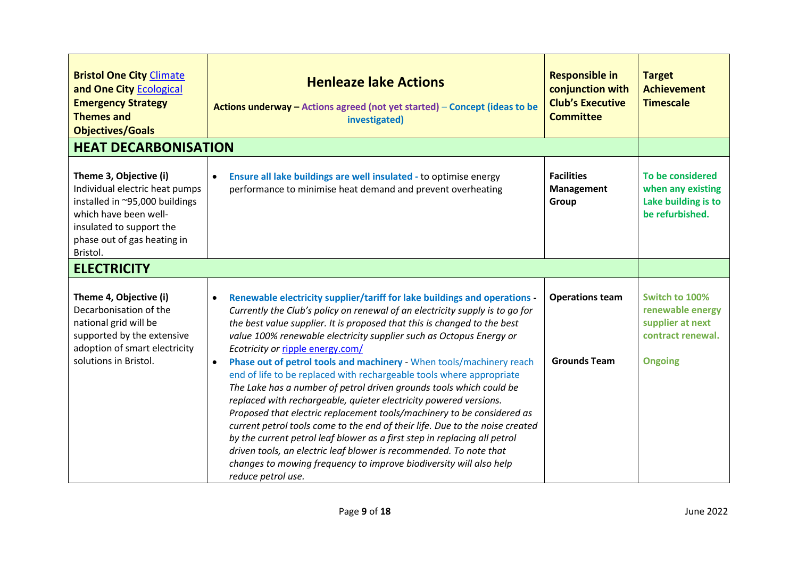<span id="page-8-1"></span><span id="page-8-0"></span>

| <b>Bristol One City Climate</b><br>and One City Ecological<br><b>Emergency Strategy</b><br><b>Themes and</b><br><b>Objectives/Goals</b>                                                    | <b>Henleaze lake Actions</b><br>Actions underway - Actions agreed (not yet started) - Concept (ideas to be<br>investigated)                                                                                                                                                                                                                                                                                                                                                                                                                                                                                                                                                                                                                                                                                                                                                                                                                                                                                                                                                     | <b>Responsible in</b><br>conjunction with<br><b>Club's Executive</b><br><b>Committee</b> | <b>Target</b><br><b>Achievement</b><br><b>Timescale</b>                                       |
|--------------------------------------------------------------------------------------------------------------------------------------------------------------------------------------------|---------------------------------------------------------------------------------------------------------------------------------------------------------------------------------------------------------------------------------------------------------------------------------------------------------------------------------------------------------------------------------------------------------------------------------------------------------------------------------------------------------------------------------------------------------------------------------------------------------------------------------------------------------------------------------------------------------------------------------------------------------------------------------------------------------------------------------------------------------------------------------------------------------------------------------------------------------------------------------------------------------------------------------------------------------------------------------|------------------------------------------------------------------------------------------|-----------------------------------------------------------------------------------------------|
| <b>HEAT DECARBONISATION</b>                                                                                                                                                                |                                                                                                                                                                                                                                                                                                                                                                                                                                                                                                                                                                                                                                                                                                                                                                                                                                                                                                                                                                                                                                                                                 |                                                                                          |                                                                                               |
| Theme 3, Objective (i)<br>Individual electric heat pumps<br>installed in ~95,000 buildings<br>which have been well-<br>insulated to support the<br>phase out of gas heating in<br>Bristol. | Ensure all lake buildings are well insulated - to optimise energy<br>$\bullet$<br>performance to minimise heat demand and prevent overheating                                                                                                                                                                                                                                                                                                                                                                                                                                                                                                                                                                                                                                                                                                                                                                                                                                                                                                                                   | <b>Facilities</b><br><b>Management</b><br>Group                                          | To be considered<br>when any existing<br>Lake building is to<br>be refurbished.               |
| <b>ELECTRICITY</b>                                                                                                                                                                         |                                                                                                                                                                                                                                                                                                                                                                                                                                                                                                                                                                                                                                                                                                                                                                                                                                                                                                                                                                                                                                                                                 |                                                                                          |                                                                                               |
| Theme 4, Objective (i)<br>Decarbonisation of the<br>national grid will be<br>supported by the extensive<br>adoption of smart electricity<br>solutions in Bristol.                          | Renewable electricity supplier/tariff for lake buildings and operations -<br>$\bullet$<br>Currently the Club's policy on renewal of an electricity supply is to go for<br>the best value supplier. It is proposed that this is changed to the best<br>value 100% renewable electricity supplier such as Octopus Energy or<br>Ecotricity or ripple energy.com/<br>Phase out of petrol tools and machinery - When tools/machinery reach<br>$\bullet$<br>end of life to be replaced with rechargeable tools where appropriate<br>The Lake has a number of petrol driven grounds tools which could be<br>replaced with rechargeable, quieter electricity powered versions.<br>Proposed that electric replacement tools/machinery to be considered as<br>current petrol tools come to the end of their life. Due to the noise created<br>by the current petrol leaf blower as a first step in replacing all petrol<br>driven tools, an electric leaf blower is recommended. To note that<br>changes to mowing frequency to improve biodiversity will also help<br>reduce petrol use. | <b>Operations team</b><br><b>Grounds Team</b>                                            | Switch to 100%<br>renewable energy<br>supplier at next<br>contract renewal.<br><b>Ongoing</b> |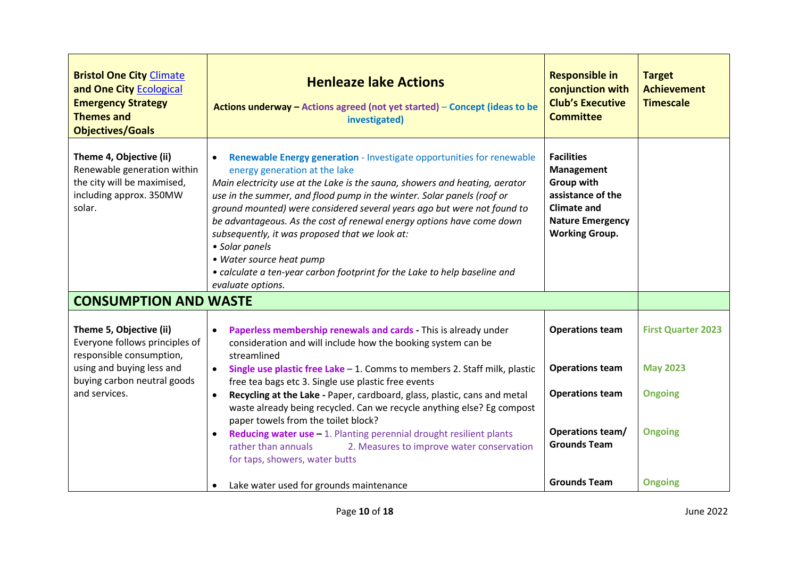<span id="page-9-0"></span>

| <b>Bristol One City Climate</b><br>and One City Ecological<br><b>Emergency Strategy</b><br><b>Themes and</b><br><b>Objectives/Goals</b> | <b>Henleaze lake Actions</b><br>Actions underway - Actions agreed (not yet started) - Concept (ideas to be<br>investigated)                                                                                                                                                                                                                                                                                                                                                                                                                                                                                           | <b>Responsible in</b><br>conjunction with<br><b>Club's Executive</b><br><b>Committee</b>                                                            | <b>Target</b><br><b>Achievement</b><br><b>Timescale</b> |
|-----------------------------------------------------------------------------------------------------------------------------------------|-----------------------------------------------------------------------------------------------------------------------------------------------------------------------------------------------------------------------------------------------------------------------------------------------------------------------------------------------------------------------------------------------------------------------------------------------------------------------------------------------------------------------------------------------------------------------------------------------------------------------|-----------------------------------------------------------------------------------------------------------------------------------------------------|---------------------------------------------------------|
| Theme 4, Objective (ii)<br>Renewable generation within<br>the city will be maximised,<br>including approx. 350MW<br>solar.              | Renewable Energy generation - Investigate opportunities for renewable<br>energy generation at the lake<br>Main electricity use at the Lake is the sauna, showers and heating, aerator<br>use in the summer, and flood pump in the winter. Solar panels (roof or<br>ground mounted) were considered several years ago but were not found to<br>be advantageous. As the cost of renewal energy options have come down<br>subsequently, it was proposed that we look at:<br>• Solar panels<br>• Water source heat pump<br>• calculate a ten-year carbon footprint for the Lake to help baseline and<br>evaluate options. | <b>Facilities</b><br>Management<br><b>Group with</b><br>assistance of the<br><b>Climate and</b><br><b>Nature Emergency</b><br><b>Working Group.</b> |                                                         |
| <b>CONSUMPTION AND WASTE</b>                                                                                                            |                                                                                                                                                                                                                                                                                                                                                                                                                                                                                                                                                                                                                       |                                                                                                                                                     |                                                         |
| Theme 5, Objective (ii)<br>Everyone follows principles of<br>responsible consumption,                                                   | Paperless membership renewals and cards - This is already under<br>$\bullet$<br>consideration and will include how the booking system can be<br>streamlined                                                                                                                                                                                                                                                                                                                                                                                                                                                           | <b>Operations team</b>                                                                                                                              | <b>First Quarter 2023</b>                               |
| using and buying less and                                                                                                               | Single use plastic free Lake $-1$ . Comms to members 2. Staff milk, plastic                                                                                                                                                                                                                                                                                                                                                                                                                                                                                                                                           | <b>Operations team</b>                                                                                                                              | <b>May 2023</b>                                         |
| buying carbon neutral goods<br>and services.                                                                                            | free tea bags etc 3. Single use plastic free events<br>Recycling at the Lake - Paper, cardboard, glass, plastic, cans and metal<br>$\bullet$<br>waste already being recycled. Can we recycle anything else? Eg compost<br>paper towels from the toilet block?                                                                                                                                                                                                                                                                                                                                                         | <b>Operations team</b>                                                                                                                              | <b>Ongoing</b>                                          |
|                                                                                                                                         | Reducing water use $-1$ . Planting perennial drought resilient plants<br>rather than annuals<br>2. Measures to improve water conservation<br>for taps, showers, water butts                                                                                                                                                                                                                                                                                                                                                                                                                                           | Operations team/<br><b>Grounds Team</b>                                                                                                             | <b>Ongoing</b>                                          |
|                                                                                                                                         | Lake water used for grounds maintenance                                                                                                                                                                                                                                                                                                                                                                                                                                                                                                                                                                               | <b>Grounds Team</b>                                                                                                                                 | <b>Ongoing</b>                                          |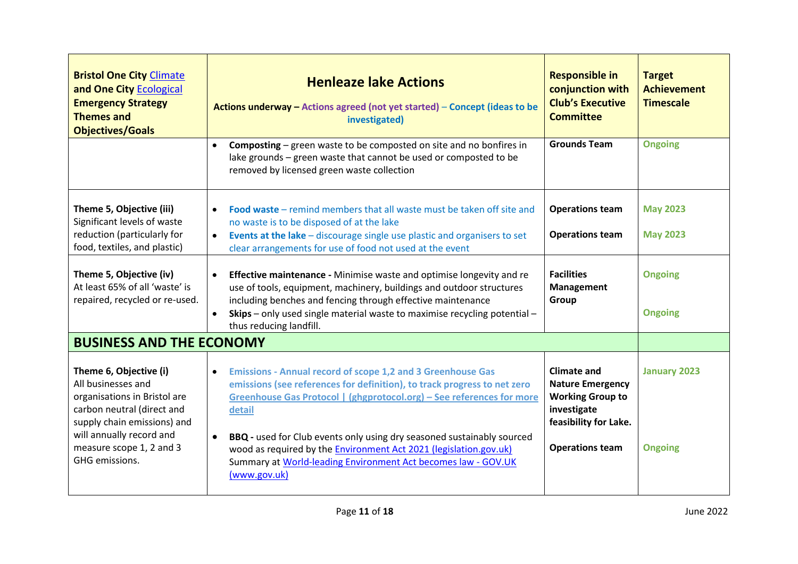<span id="page-10-0"></span>

| <b>Bristol One City Climate</b><br>and One City Ecological<br><b>Emergency Strategy</b><br><b>Themes and</b><br><b>Objectives/Goals</b>                                                                             | <b>Henleaze lake Actions</b><br>Actions underway - Actions agreed (not yet started) - Concept (ideas to be<br>investigated)                                                                                                                                                                                                                                                                                                                                                                        | <b>Responsible in</b><br>conjunction with<br><b>Club's Executive</b><br><b>Committee</b>                                                   | <b>Target</b><br><b>Achievement</b><br><b>Timescale</b> |
|---------------------------------------------------------------------------------------------------------------------------------------------------------------------------------------------------------------------|----------------------------------------------------------------------------------------------------------------------------------------------------------------------------------------------------------------------------------------------------------------------------------------------------------------------------------------------------------------------------------------------------------------------------------------------------------------------------------------------------|--------------------------------------------------------------------------------------------------------------------------------------------|---------------------------------------------------------|
|                                                                                                                                                                                                                     | <b>Composting</b> – green waste to be composted on site and no bonfires in<br>$\bullet$<br>lake grounds - green waste that cannot be used or composted to be<br>removed by licensed green waste collection                                                                                                                                                                                                                                                                                         | <b>Grounds Team</b>                                                                                                                        | <b>Ongoing</b>                                          |
| Theme 5, Objective (iii)<br>Significant levels of waste<br>reduction (particularly for<br>food, textiles, and plastic)                                                                                              | <b>Food waste</b> – remind members that all waste must be taken off site and<br>$\bullet$<br>no waste is to be disposed of at the lake<br>Events at the lake - discourage single use plastic and organisers to set<br>$\bullet$<br>clear arrangements for use of food not used at the event                                                                                                                                                                                                        | <b>Operations team</b><br><b>Operations team</b>                                                                                           | <b>May 2023</b><br><b>May 2023</b>                      |
| Theme 5, Objective (iv)<br>At least 65% of all 'waste' is<br>repaired, recycled or re-used.                                                                                                                         | Effective maintenance - Minimise waste and optimise longevity and re<br>$\bullet$<br>use of tools, equipment, machinery, buildings and outdoor structures<br>including benches and fencing through effective maintenance<br>Skips - only used single material waste to maximise recycling potential -<br>$\bullet$<br>thus reducing landfill.                                                                                                                                                      | <b>Facilities</b><br><b>Management</b><br>Group                                                                                            | <b>Ongoing</b><br><b>Ongoing</b>                        |
| <b>BUSINESS AND THE ECONOMY</b>                                                                                                                                                                                     |                                                                                                                                                                                                                                                                                                                                                                                                                                                                                                    |                                                                                                                                            |                                                         |
| Theme 6, Objective (i)<br>All businesses and<br>organisations in Bristol are<br>carbon neutral (direct and<br>supply chain emissions) and<br>will annually record and<br>measure scope 1, 2 and 3<br>GHG emissions. | <b>Emissions - Annual record of scope 1,2 and 3 Greenhouse Gas</b><br>$\bullet$<br>emissions (see references for definition), to track progress to net zero<br>Greenhouse Gas Protocol   (ghgprotocol.org) - See references for more<br>detail<br>BBQ - used for Club events only using dry seasoned sustainably sourced<br>$\bullet$<br>wood as required by the <b>Environment Act 2021</b> (legislation.gov.uk)<br>Summary at World-leading Environment Act becomes law - GOV.UK<br>(www.gov.uk) | <b>Climate and</b><br><b>Nature Emergency</b><br><b>Working Group to</b><br>investigate<br>feasibility for Lake.<br><b>Operations team</b> | <b>January 2023</b><br><b>Ongoing</b>                   |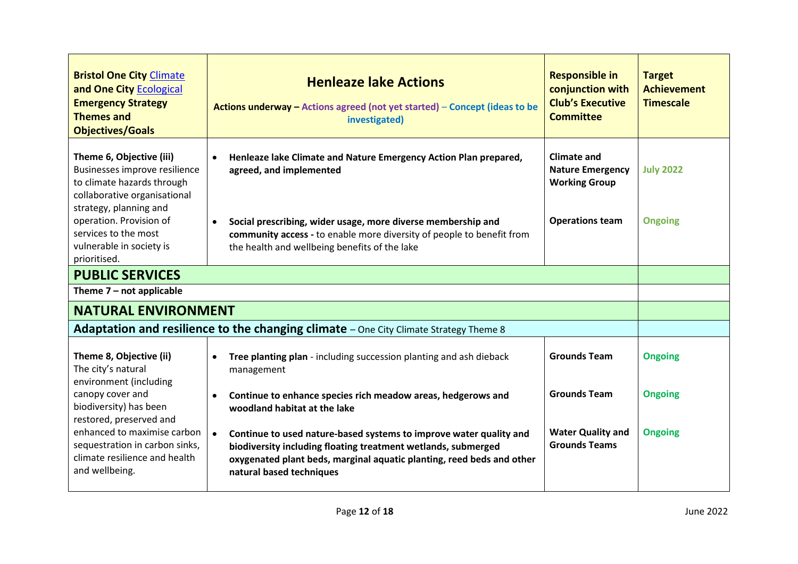<span id="page-11-1"></span><span id="page-11-0"></span>

| <b>Bristol One City Climate</b><br>and One City Ecological<br><b>Emergency Strategy</b><br><b>Themes and</b><br><b>Objectives/Goals</b>                                      | <b>Henleaze lake Actions</b><br>Actions underway - Actions agreed (not yet started) - Concept (ideas to be<br>investigated)                                                                                                              | <b>Responsible in</b><br>conjunction with<br><b>Club's Executive</b><br><b>Committee</b>        | <b>Target</b><br><b>Achievement</b><br><b>Timescale</b> |
|------------------------------------------------------------------------------------------------------------------------------------------------------------------------------|------------------------------------------------------------------------------------------------------------------------------------------------------------------------------------------------------------------------------------------|-------------------------------------------------------------------------------------------------|---------------------------------------------------------|
| Theme 6, Objective (iii)<br>Businesses improve resilience<br>to climate hazards through<br>collaborative organisational<br>strategy, planning and<br>operation. Provision of | Henleaze lake Climate and Nature Emergency Action Plan prepared,<br>agreed, and implemented<br>Social prescribing, wider usage, more diverse membership and<br>$\bullet$                                                                 | <b>Climate and</b><br><b>Nature Emergency</b><br><b>Working Group</b><br><b>Operations team</b> | <b>July 2022</b><br><b>Ongoing</b>                      |
| services to the most<br>vulnerable in society is<br>prioritised.                                                                                                             | community access - to enable more diversity of people to benefit from<br>the health and wellbeing benefits of the lake                                                                                                                   |                                                                                                 |                                                         |
| <b>PUBLIC SERVICES</b>                                                                                                                                                       |                                                                                                                                                                                                                                          |                                                                                                 |                                                         |
| Theme $7$ – not applicable                                                                                                                                                   |                                                                                                                                                                                                                                          |                                                                                                 |                                                         |
| <b>NATURAL ENVIRONMENT</b>                                                                                                                                                   |                                                                                                                                                                                                                                          |                                                                                                 |                                                         |
|                                                                                                                                                                              | <b>Adaptation and resilience to the changing climate</b> – One City Climate Strategy Theme 8                                                                                                                                             |                                                                                                 |                                                         |
| Theme 8, Objective (ii)<br>The city's natural<br>environment (including                                                                                                      | Tree planting plan - including succession planting and ash dieback<br>management                                                                                                                                                         | <b>Grounds Team</b>                                                                             | <b>Ongoing</b>                                          |
| canopy cover and<br>biodiversity) has been<br>restored, preserved and                                                                                                        | Continue to enhance species rich meadow areas, hedgerows and<br>$\bullet$<br>woodland habitat at the lake                                                                                                                                | <b>Grounds Team</b>                                                                             | <b>Ongoing</b>                                          |
| enhanced to maximise carbon<br>sequestration in carbon sinks,<br>climate resilience and health<br>and wellbeing.                                                             | Continue to used nature-based systems to improve water quality and<br>biodiversity including floating treatment wetlands, submerged<br>oxygenated plant beds, marginal aquatic planting, reed beds and other<br>natural based techniques | <b>Water Quality and</b><br><b>Grounds Teams</b>                                                | <b>Ongoing</b>                                          |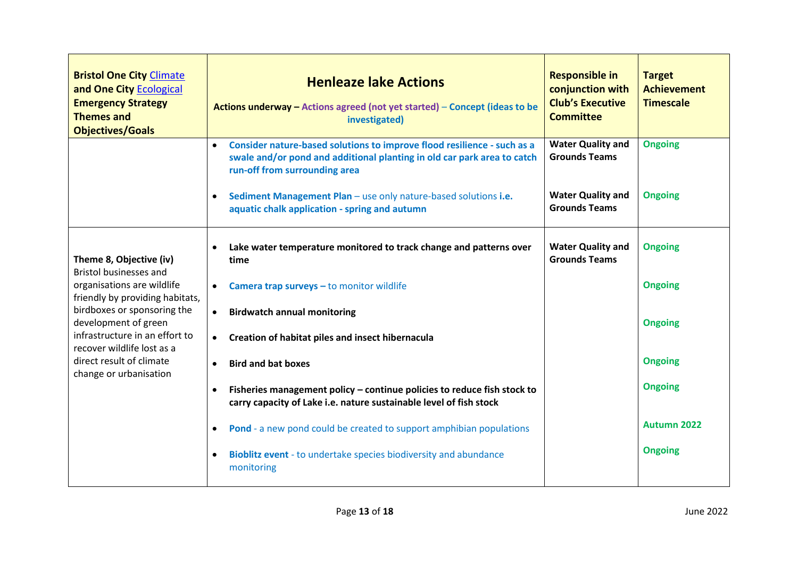| <b>Bristol One City Climate</b><br>and One City Ecological<br><b>Emergency Strategy</b><br><b>Themes and</b><br><b>Objectives/Goals</b> | <b>Henleaze lake Actions</b><br>Actions underway - Actions agreed (not yet started) - Concept (ideas to be<br>investigated)                                                                      | <b>Responsible in</b><br>conjunction with<br><b>Club's Executive</b><br><b>Committee</b> | <b>Target</b><br><b>Achievement</b><br><b>Timescale</b> |
|-----------------------------------------------------------------------------------------------------------------------------------------|--------------------------------------------------------------------------------------------------------------------------------------------------------------------------------------------------|------------------------------------------------------------------------------------------|---------------------------------------------------------|
|                                                                                                                                         | Consider nature-based solutions to improve flood resilience - such as a<br>$\bullet$<br>swale and/or pond and additional planting in old car park area to catch<br>run-off from surrounding area | <b>Water Quality and</b><br><b>Grounds Teams</b>                                         | <b>Ongoing</b>                                          |
|                                                                                                                                         | Sediment Management Plan - use only nature-based solutions i.e.<br>$\bullet$<br>aquatic chalk application - spring and autumn                                                                    | <b>Water Quality and</b><br><b>Grounds Teams</b>                                         | <b>Ongoing</b>                                          |
| Theme 8, Objective (iv)<br><b>Bristol businesses and</b>                                                                                | Lake water temperature monitored to track change and patterns over<br>$\bullet$<br>time                                                                                                          | <b>Water Quality and</b><br><b>Grounds Teams</b>                                         | <b>Ongoing</b>                                          |
| organisations are wildlife<br>friendly by providing habitats,                                                                           | Camera trap surveys - to monitor wildlife<br>$\bullet$                                                                                                                                           |                                                                                          | <b>Ongoing</b>                                          |
| birdboxes or sponsoring the<br>development of green                                                                                     | <b>Birdwatch annual monitoring</b><br>$\bullet$                                                                                                                                                  |                                                                                          | <b>Ongoing</b>                                          |
| infrastructure in an effort to<br>recover wildlife lost as a                                                                            | Creation of habitat piles and insect hibernacula<br>$\bullet$                                                                                                                                    |                                                                                          |                                                         |
| direct result of climate<br>change or urbanisation                                                                                      | <b>Bird and bat boxes</b><br>$\bullet$                                                                                                                                                           |                                                                                          | <b>Ongoing</b>                                          |
|                                                                                                                                         | Fisheries management policy - continue policies to reduce fish stock to<br>$\bullet$<br>carry capacity of Lake i.e. nature sustainable level of fish stock                                       |                                                                                          | <b>Ongoing</b>                                          |
|                                                                                                                                         | Pond - a new pond could be created to support amphibian populations<br>$\bullet$                                                                                                                 |                                                                                          | <b>Autumn 2022</b>                                      |
|                                                                                                                                         | Bioblitz event - to undertake species biodiversity and abundance<br>$\bullet$<br>monitoring                                                                                                      |                                                                                          | <b>Ongoing</b>                                          |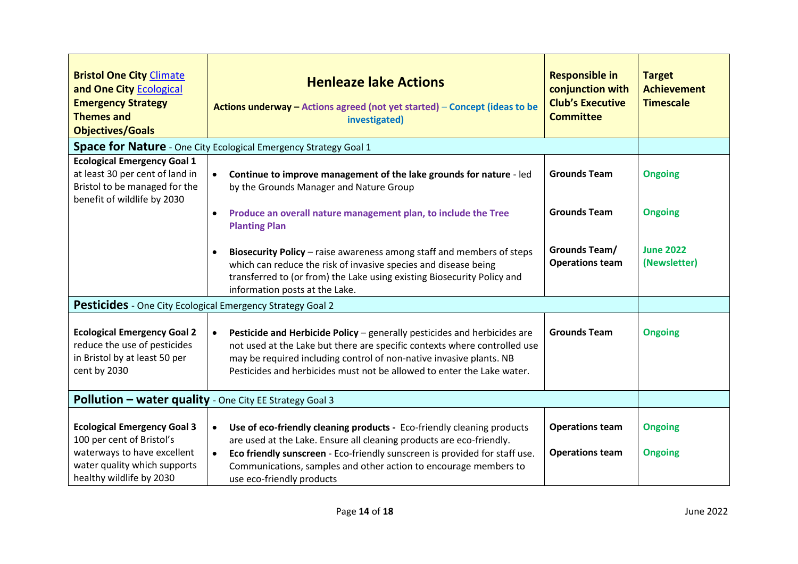| <b>Bristol One City Climate</b><br>and One City Ecological<br><b>Emergency Strategy</b><br><b>Themes and</b><br><b>Objectives/Goals</b> | <b>Henleaze lake Actions</b><br>Actions underway - Actions agreed (not yet started) - Concept (ideas to be<br>investigated)                                                                                                                                                                                                | <b>Responsible in</b><br>conjunction with<br><b>Club's Executive</b><br><b>Committee</b> | <b>Target</b><br><b>Achievement</b><br><b>Timescale</b> |
|-----------------------------------------------------------------------------------------------------------------------------------------|----------------------------------------------------------------------------------------------------------------------------------------------------------------------------------------------------------------------------------------------------------------------------------------------------------------------------|------------------------------------------------------------------------------------------|---------------------------------------------------------|
|                                                                                                                                         | Space for Nature - One City Ecological Emergency Strategy Goal 1                                                                                                                                                                                                                                                           |                                                                                          |                                                         |
| <b>Ecological Emergency Goal 1</b><br>at least 30 per cent of land in<br>Bristol to be managed for the<br>benefit of wildlife by 2030   | Continue to improve management of the lake grounds for nature - led<br>by the Grounds Manager and Nature Group<br>Produce an overall nature management plan, to include the Tree<br>$\bullet$<br><b>Planting Plan</b>                                                                                                      | <b>Grounds Team</b><br><b>Grounds Team</b>                                               | <b>Ongoing</b><br><b>Ongoing</b>                        |
|                                                                                                                                         | Biosecurity Policy - raise awareness among staff and members of steps<br>$\bullet$<br>which can reduce the risk of invasive species and disease being<br>transferred to (or from) the Lake using existing Biosecurity Policy and<br>information posts at the Lake.                                                         | Grounds Team/<br><b>Operations team</b>                                                  | <b>June 2022</b><br>(Newsletter)                        |
| <b>Pesticides</b> - One City Ecological Emergency Strategy Goal 2                                                                       |                                                                                                                                                                                                                                                                                                                            |                                                                                          |                                                         |
| <b>Ecological Emergency Goal 2</b><br>reduce the use of pesticides<br>in Bristol by at least 50 per<br>cent by 2030                     | Pesticide and Herbicide Policy - generally pesticides and herbicides are<br>$\bullet$<br>not used at the Lake but there are specific contexts where controlled use<br>may be required including control of non-native invasive plants. NB<br>Pesticides and herbicides must not be allowed to enter the Lake water.        | <b>Grounds Team</b>                                                                      | <b>Ongoing</b>                                          |
| Pollution - water quality - One City EE Strategy Goal 3                                                                                 |                                                                                                                                                                                                                                                                                                                            |                                                                                          |                                                         |
| <b>Ecological Emergency Goal 3</b><br>100 per cent of Bristol's<br>waterways to have excellent<br>water quality which supports          | Use of eco-friendly cleaning products - Eco-friendly cleaning products<br>$\bullet$<br>are used at the Lake. Ensure all cleaning products are eco-friendly.<br>Eco friendly sunscreen - Eco-friendly sunscreen is provided for staff use.<br>$\bullet$<br>Communications, samples and other action to encourage members to | <b>Operations team</b><br><b>Operations team</b>                                         | <b>Ongoing</b><br><b>Ongoing</b>                        |
| healthy wildlife by 2030                                                                                                                | use eco-friendly products                                                                                                                                                                                                                                                                                                  |                                                                                          |                                                         |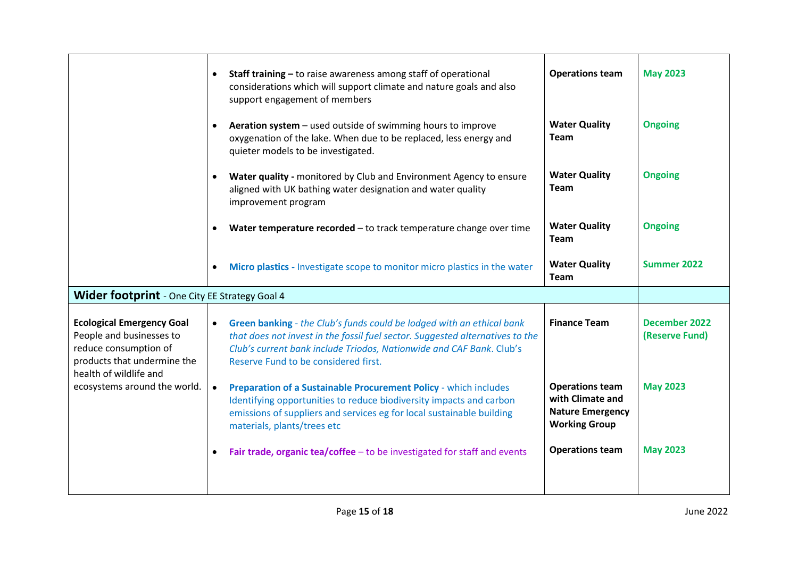|                                                                                                                                                | Staff training - to raise awareness among staff of operational<br>$\bullet$<br>considerations which will support climate and nature goals and also<br>support engagement of members                                                                                                 | <b>Operations team</b>                                                                        | <b>May 2023</b>                        |
|------------------------------------------------------------------------------------------------------------------------------------------------|-------------------------------------------------------------------------------------------------------------------------------------------------------------------------------------------------------------------------------------------------------------------------------------|-----------------------------------------------------------------------------------------------|----------------------------------------|
|                                                                                                                                                | Aeration system - used outside of swimming hours to improve<br>$\bullet$<br>oxygenation of the lake. When due to be replaced, less energy and<br>quieter models to be investigated.                                                                                                 | <b>Water Quality</b><br><b>Team</b>                                                           | <b>Ongoing</b>                         |
|                                                                                                                                                | Water quality - monitored by Club and Environment Agency to ensure<br>$\bullet$<br>aligned with UK bathing water designation and water quality<br>improvement program                                                                                                               | <b>Water Quality</b><br><b>Team</b>                                                           | <b>Ongoing</b>                         |
|                                                                                                                                                | Water temperature recorded - to track temperature change over time                                                                                                                                                                                                                  | <b>Water Quality</b><br><b>Team</b>                                                           | <b>Ongoing</b>                         |
|                                                                                                                                                | Micro plastics - Investigate scope to monitor micro plastics in the water<br>$\bullet$                                                                                                                                                                                              | <b>Water Quality</b><br><b>Team</b>                                                           | Summer 2022                            |
| <b>Wider footprint</b> - One City EE Strategy Goal 4                                                                                           |                                                                                                                                                                                                                                                                                     |                                                                                               |                                        |
| <b>Ecological Emergency Goal</b><br>People and businesses to<br>reduce consumption of<br>products that undermine the<br>health of wildlife and | Green banking - the Club's funds could be lodged with an ethical bank<br>$\bullet$<br>that does not invest in the fossil fuel sector. Suggested alternatives to the<br>Club's current bank include Triodos, Nationwide and CAF Bank. Club's<br>Reserve Fund to be considered first. | <b>Finance Team</b>                                                                           | <b>December 2022</b><br>(Reserve Fund) |
| ecosystems around the world.                                                                                                                   | Preparation of a Sustainable Procurement Policy - which includes<br>$\bullet$<br>Identifying opportunities to reduce biodiversity impacts and carbon<br>emissions of suppliers and services eg for local sustainable building<br>materials, plants/trees etc                        | <b>Operations team</b><br>with Climate and<br><b>Nature Emergency</b><br><b>Working Group</b> | <b>May 2023</b>                        |
|                                                                                                                                                | Fair trade, organic tea/coffee - to be investigated for staff and events                                                                                                                                                                                                            | <b>Operations team</b>                                                                        | <b>May 2023</b>                        |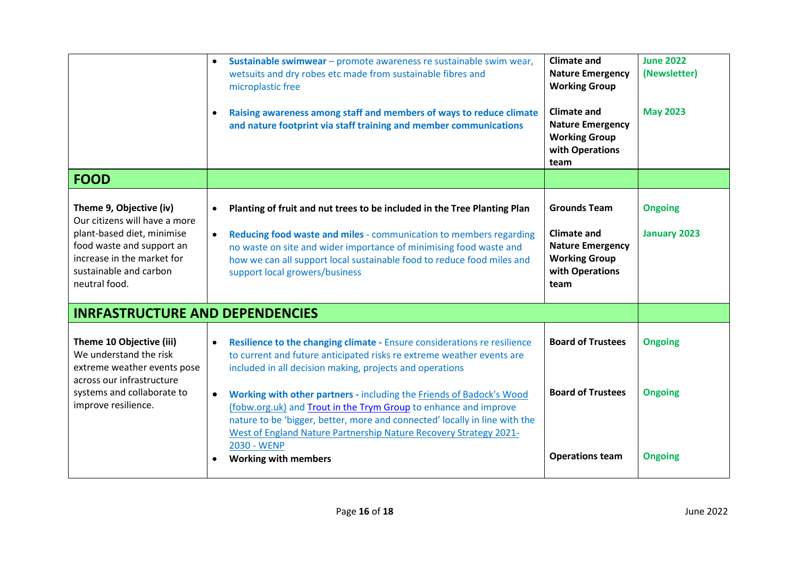<span id="page-15-0"></span>

|                                                                                                                                                                                              | Sustainable swimwear - promote awareness re sustainable swim wear,<br>$\bullet$<br>wetsuits and dry robes etc made from sustainable fibres and<br>microplastic free<br>Raising awareness among staff and members of ways to reduce climate<br>$\bullet$<br>and nature footprint via staff training and member communications                               | <b>Climate and</b><br><b>Nature Emergency</b><br><b>Working Group</b><br><b>Climate and</b><br><b>Nature Emergency</b><br><b>Working Group</b><br>with Operations<br>team | <b>June 2022</b><br>(Newsletter)<br><b>May 2023</b> |
|----------------------------------------------------------------------------------------------------------------------------------------------------------------------------------------------|------------------------------------------------------------------------------------------------------------------------------------------------------------------------------------------------------------------------------------------------------------------------------------------------------------------------------------------------------------|---------------------------------------------------------------------------------------------------------------------------------------------------------------------------|-----------------------------------------------------|
| <b>FOOD</b>                                                                                                                                                                                  |                                                                                                                                                                                                                                                                                                                                                            |                                                                                                                                                                           |                                                     |
| Theme 9, Objective (iv)<br>Our citizens will have a more<br>plant-based diet, minimise<br>food waste and support an<br>increase in the market for<br>sustainable and carbon<br>neutral food. | Planting of fruit and nut trees to be included in the Tree Planting Plan<br>$\bullet$<br>Reducing food waste and miles - communication to members regarding<br>$\bullet$<br>no waste on site and wider importance of minimising food waste and<br>how we can all support local sustainable food to reduce food miles and<br>support local growers/business | <b>Grounds Team</b><br><b>Climate and</b><br><b>Nature Emergency</b><br><b>Working Group</b><br>with Operations<br>team                                                   | <b>Ongoing</b><br><b>January 2023</b>               |
| <b>INRFASTRUCTURE AND DEPENDENCIES</b>                                                                                                                                                       |                                                                                                                                                                                                                                                                                                                                                            |                                                                                                                                                                           |                                                     |
| Theme 10 Objective (iii)<br>We understand the risk<br>extreme weather events pose<br>across our infrastructure                                                                               | Resilience to the changing climate - Ensure considerations re resilience<br>$\bullet$<br>to current and future anticipated risks re extreme weather events are<br>included in all decision making, projects and operations                                                                                                                                 | <b>Board of Trustees</b>                                                                                                                                                  | <b>Ongoing</b>                                      |
| systems and collaborate to<br>improve resilience.                                                                                                                                            | Working with other partners - including the Friends of Badock's Wood<br>$\bullet$<br>(fobw.org.uk) and Trout in the Trym Group to enhance and improve<br>nature to be 'bigger, better, more and connected' locally in line with the<br>West of England Nature Partnership Nature Recovery Strategy 2021-                                                   | <b>Board of Trustees</b>                                                                                                                                                  | <b>Ongoing</b>                                      |
|                                                                                                                                                                                              | 2030 - WENP<br><b>Working with members</b>                                                                                                                                                                                                                                                                                                                 | <b>Operations team</b>                                                                                                                                                    | <b>Ongoing</b>                                      |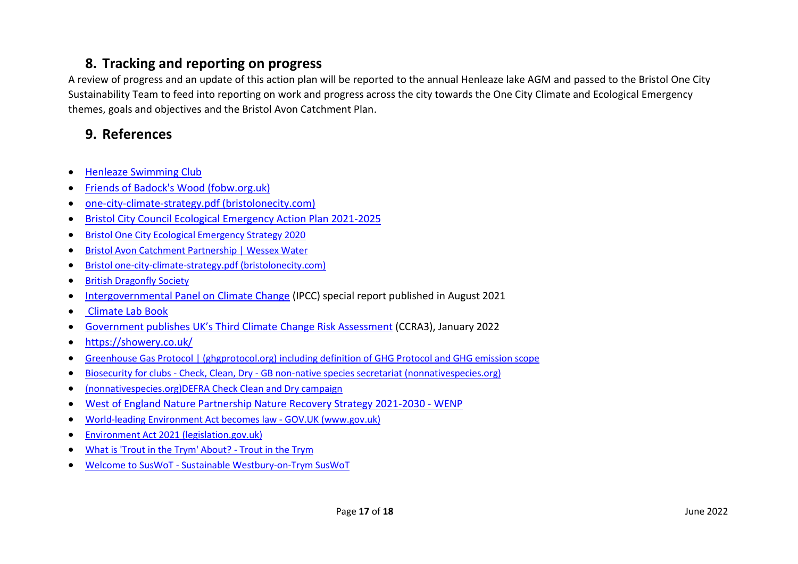### <span id="page-16-0"></span>**8. Tracking and reporting on progress**

A review of progress and an update of this action plan will be reported to the annual Henleaze lake AGM and passed to the Bristol One City Sustainability Team to feed into reporting on work and progress across the city towards the One City Climate and Ecological Emergency themes, goals and objectives and the Bristol Avon Catchment Plan.

# <span id="page-16-1"></span>**9. References**

- [Henleaze Swimming Club](http://www.henleazeswimmingclub.org/)
- Friends of Badock's [Wood \(fobw.org.uk\)](http://www.fobw.org.uk/)
- [one-city-climate-strategy.pdf \(bristolonecity.com\)](https://www.bristolonecity.com/wp-content/uploads/2020/02/one-city-climate-strategy.pdf)
- [Bristol City Council Ecological Emergency Action Plan 2021-2025](https://www.bristol.gov.uk/documents/20182/5572361/Ecological_Emergency_Action_Plan.pdf/2e98b357-5e7c-d926-3a52-bf602e01d44c?t=1630497102530)
- [Bristol One City Ecological Emergency Strategy 2020](https://www.bristolonecity.com/wp-content/uploads/2020/09/One-City-Ecological-Emergency-Strategy.pdf)
- [Bristol Avon Catchment Partnership | Wessex Water](https://www.wessexwater.co.uk/environment/catchment-partnerships/bristol-avon-catchment-partnership?msclkid=3530f107b0c311ecb66eede0267b5b97)
- Bristol [one-city-climate-strategy.pdf](https://www.bristolonecity.com/wp-content/uploads/2020/02/one-city-climate-strategy.pdf) (bristolonecity.com)
- [British Dragonfly Society](https://british-dragonflies.org.uk/species/common-darter/)
- [Intergovernmental Panel on Climate Change](https://www.ipcc.ch/about/) (IPCC) special report published in August 2021
- [Climate Lab Book](https://www.climate-lab-book.ac.uk/2018/warming-stripes/)
- [Government publishes UK's Third Climate](https://www.gov.uk/government/news/government-publishes-uks-third-climate-change-risk-assessment) Change Risk Assessment (CCRA3), January 2022
- <https://showery.co.uk/>
- [Greenhouse Gas Protocol | \(ghgprotocol.org\)](https://ghgprotocol.org/) including definition of GHG Protocol and GHG emission scope
- Biosecurity for clubs Check, Clean, Dry [GB non-native species secretariat \(nonnativespecies.org\)](http://www.nonnativespecies.org/checkcleandry/biosecurity-for-clubs.cfm)
- [\(nonnativespecies.org\)](http://www.nonnativespecies.org/checkcleandry/biosecurity-for-clubs.cfm)[DEFRA Check Clean and Dry campaign](https://secure.fera.defra.gov.uk/nonnativespecies/checkcleandry/documents/check-clean-dry-england.pdf)
- [West of England Nature Partnership Nature Recovery Strategy 2021-2030 -](https://wenp.org.uk/strategy/) WENP
- [World-leading Environment Act becomes law -](https://www.gov.uk/government/news/world-leading-environment-act-becomes-law) GOV.UK (www.gov.uk)
- [Environment Act 2021 \(legislation.gov.uk\)](https://www.legislation.gov.uk/ukpga/2021/30/contents/enacted)
- [What is 'Trout in the Trym' About? -](https://www.troutinthetrym.co.uk/?msclkid=3de13f0bb0c411ecac046c23db2158c0) Trout in the Trym
- Welcome to SusWoT [Sustainable Westbury-on-Trym SusWoT](https://www.suswot.org.uk/?msclkid=56178654b0c411eca7d9a4dbb1721418)